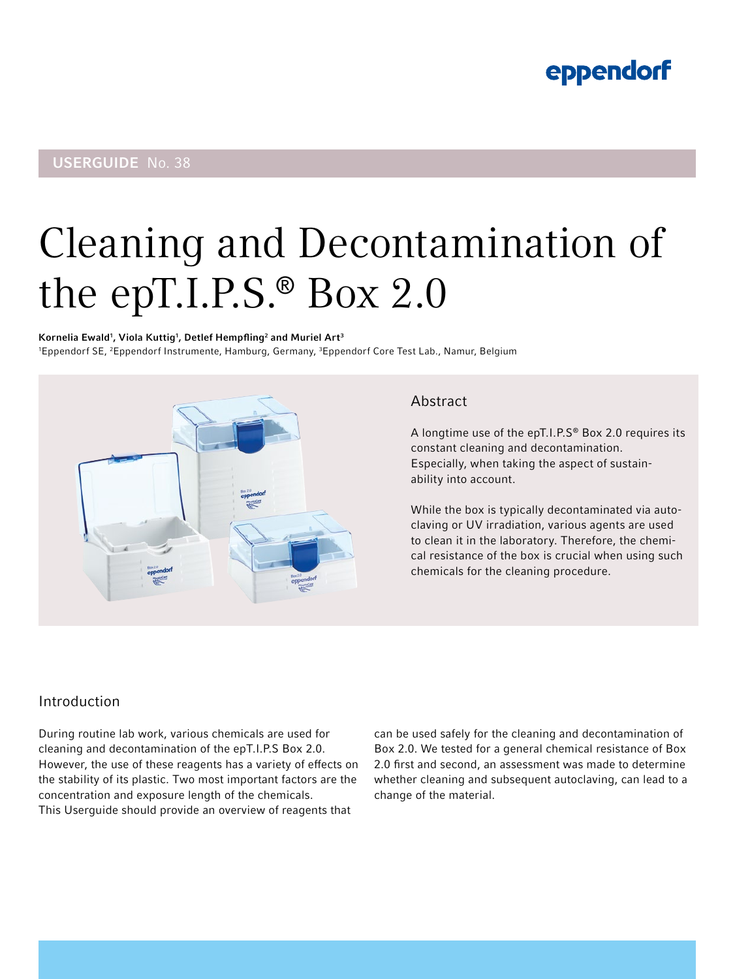# eppendorf

# USERGUIDE No. 38

# Cleaning and Decontamination of the epT.I.P.S.® Box 2.0

Kornelia Ewald $^{\rm 1}$ , Viola Kuttig $^{\rm 1}$ , Detlef Hempfling $^{\rm 2}$  and Muriel Art $^{\rm 3}$ 1 Eppendorf SE, 2 Eppendorf Instrumente, Hamburg, Germany, 3Eppendorf Core Test Lab., Namur, Belgium



# Abstract

A longtime use of the epT.I.P.S® Box 2.0 requires its constant cleaning and decontamination. Especially, when taking the aspect of sustainability into account.

While the box is typically decontaminated via autoclaving or UV irradiation, various agents are used to clean it in the laboratory. Therefore, the chemical resistance of the box is crucial when using such chemicals for the cleaning procedure.

# Introduction

During routine lab work, various chemicals are used for cleaning and decontamination of the epT.I.P.S Box 2.0. However, the use of these reagents has a variety of effects on the stability of its plastic. Two most important factors are the concentration and exposure length of the chemicals. This Userguide should provide an overview of reagents that

can be used safely for the cleaning and decontamination of Box 2.0. We tested for a general chemical resistance of Box 2.0 first and second, an assessment was made to determine whether cleaning and subsequent autoclaving, can lead to a change of the material.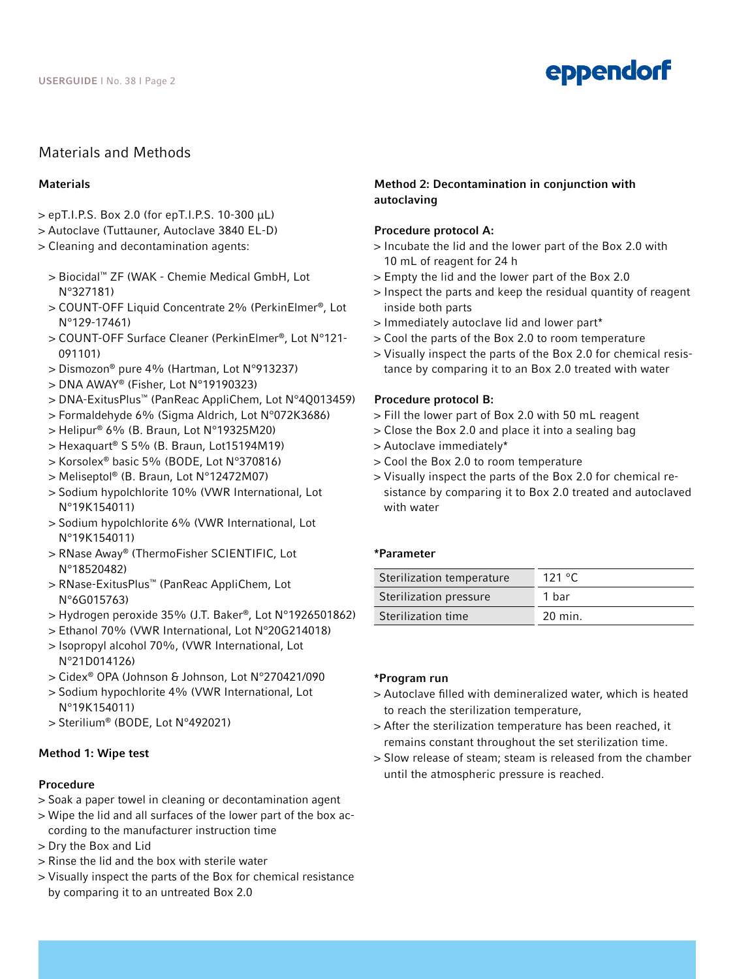# eppendorf

# Materials and Methods

#### **Materials**

- > epT.I.P.S. Box 2.0 (for epT.I.P.S. 10-300 µL)
- > Autoclave (Tuttauner, Autoclave 3840 EL-D)
- > Cleaning and decontamination agents:
	- > Biocidal™ ZF (WAK Chemie Medical GmbH, Lot N°327181)
	- > COUNT-OFF Liquid Concentrate 2% (PerkinElmer®, Lot N°129-17461)
	- > COUNT-OFF Surface Cleaner (PerkinElmer®, Lot N°121- 091101)
	- > Dismozon® pure 4% (Hartman, Lot N°913237)
	- > DNA AWAY® (Fisher, Lot N°19190323)
	- > DNA-ExitusPlus™ (PanReac AppliChem, Lot N°4Q013459)
	- > Formaldehyde 6% (Sigma Aldrich, Lot N°072K3686)
	- > Helipur® 6% (B. Braun, Lot N°19325M20)
	- > Hexaquart® S 5% (B. Braun, Lot15194M19)
	- > Korsolex® basic 5% (BODE, Lot N°370816)
	- > Meliseptol® (B. Braun, Lot N°12472M07)
	- > Sodium hypolchlorite 10% (VWR International, Lot N°19K154011)
	- > Sodium hypolchlorite 6% (VWR International, Lot N°19K154011)
	- > RNase Away® (ThermoFisher SCIENTIFIC, Lot N°18520482)
	- > RNase-ExitusPlus™ (PanReac AppliChem, Lot N°6G015763)
	- > Hydrogen peroxide 35% (J.T. Baker®, Lot N°1926501862)
	- > Ethanol 70% (VWR International, Lot N°20G214018)
	- > Isopropyl alcohol 70%, (VWR International, Lot N°21D014126)
	- > Cidex® OPA (Johnson & Johnson, Lot N°270421/090
	- > Sodium hypochlorite 4% (VWR International, Lot N°19K154011)
	- > Sterilium® (BODE, Lot N°492021)

#### Method 1: Wipe test

#### Procedure

- > Soak a paper towel in cleaning or decontamination agent
- > Wipe the lid and all surfaces of the lower part of the box according to the manufacturer instruction time
- > Dry the Box and Lid
- > Rinse the lid and the box with sterile water
- > Visually inspect the parts of the Box for chemical resistance by comparing it to an untreated Box 2.0

## Method 2: Decontamination in conjunction with autoclaving

#### Procedure protocol A:

- > Incubate the lid and the lower part of the Box 2.0 with 10 mL of reagent for 24 h
- > Empty the lid and the lower part of the Box 2.0
- > Inspect the parts and keep the residual quantity of reagent inside both parts
- > Immediately autoclave lid and lower part\*
- > Cool the parts of the Box 2.0 to room temperature
- > Visually inspect the parts of the Box 2.0 for chemical resistance by comparing it to an Box 2.0 treated with water

#### Procedure protocol B:

- > Fill the lower part of Box 2.0 with 50 mL reagent
- > Close the Box 2.0 and place it into a sealing bag
- > Autoclave immediately\*
- > Cool the Box 2.0 to room temperature
- > Visually inspect the parts of the Box 2.0 for chemical resistance by comparing it to Box 2.0 treated and autoclaved with water

#### \*Parameter

| 121 $\degree$ C |
|-----------------|
| 1 bar           |
| 20 min.         |
|                 |

#### \*Program run

- > Autoclave filled with demineralized water, which is heated to reach the sterilization temperature,
- > After the sterilization temperature has been reached, it remains constant throughout the set sterilization time.
- > Slow release of steam; steam is released from the chamber until the atmospheric pressure is reached.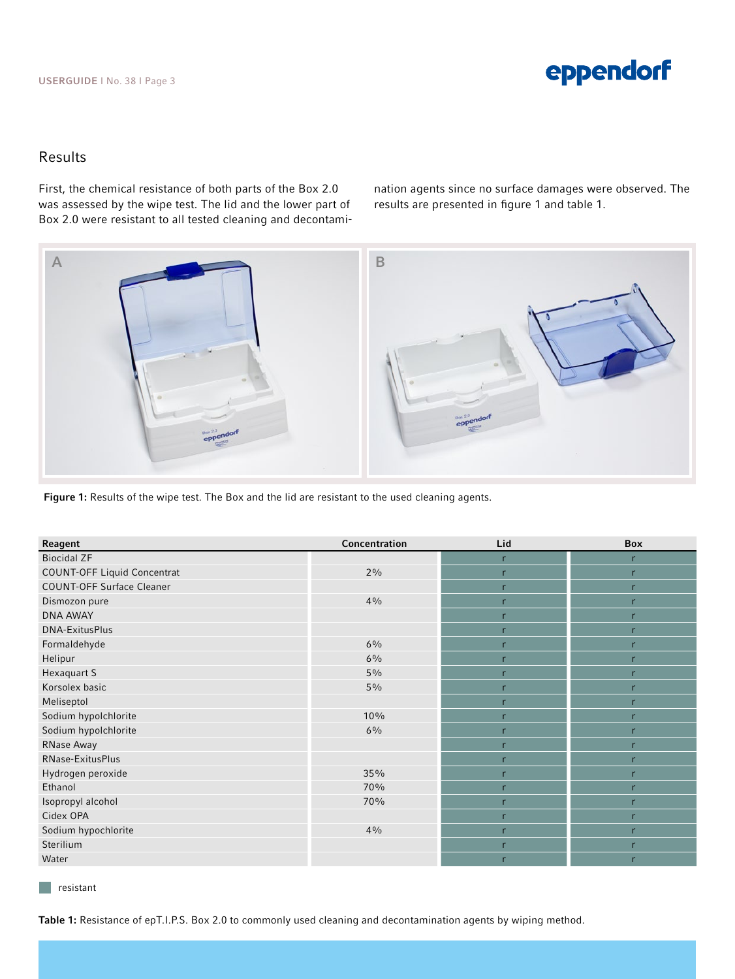# Results

First, the chemical resistance of both parts of the Box 2.0 was assessed by the wipe test. The lid and the lower part of Box 2.0 were resistant to all tested cleaning and decontamination agents since no surface damages were observed. The results are presented in figure 1 and table 1.



Figure 1: Results of the wipe test. The Box and the lid are resistant to the used cleaning agents.

| Reagent                            | Concentration | Lid | <b>Box</b> |
|------------------------------------|---------------|-----|------------|
| <b>Biocidal ZF</b>                 |               | r   | r          |
| <b>COUNT-OFF Liquid Concentrat</b> | 2%            | r   | r          |
| <b>COUNT-OFF Surface Cleaner</b>   |               |     |            |
| Dismozon pure                      | 4%            |     | r          |
| <b>DNA AWAY</b>                    |               | r   | r          |
| <b>DNA-ExitusPlus</b>              |               | r   | r          |
| Formaldehyde                       | $6\%$         |     | r          |
| Helipur                            | 6%            |     |            |
| Hexaquart S                        | $5\%$         |     |            |
| Korsolex basic                     | 5%            | r   | r          |
| Meliseptol                         |               |     |            |
| Sodium hypolchlorite               | 10%           |     |            |
| Sodium hypolchlorite               | 6%            | r   | r          |
| RNase Away                         |               | r   | r          |
| RNase-ExitusPlus                   |               | r   | r          |
| Hydrogen peroxide                  | 35%           | r   | r          |
| Ethanol                            | 70%           |     |            |
| Isopropyl alcohol                  | 70%           | r   | r          |
| Cidex OPA                          |               | r   | r          |
| Sodium hypochlorite                | 4%            | r   | r          |
| Sterilium                          |               | r   | r          |
| Water                              |               |     |            |

resistant

 $\Box$ 

Table 1: Resistance of epT.I.P.S. Box 2.0 to commonly used cleaning and decontamination agents by wiping method.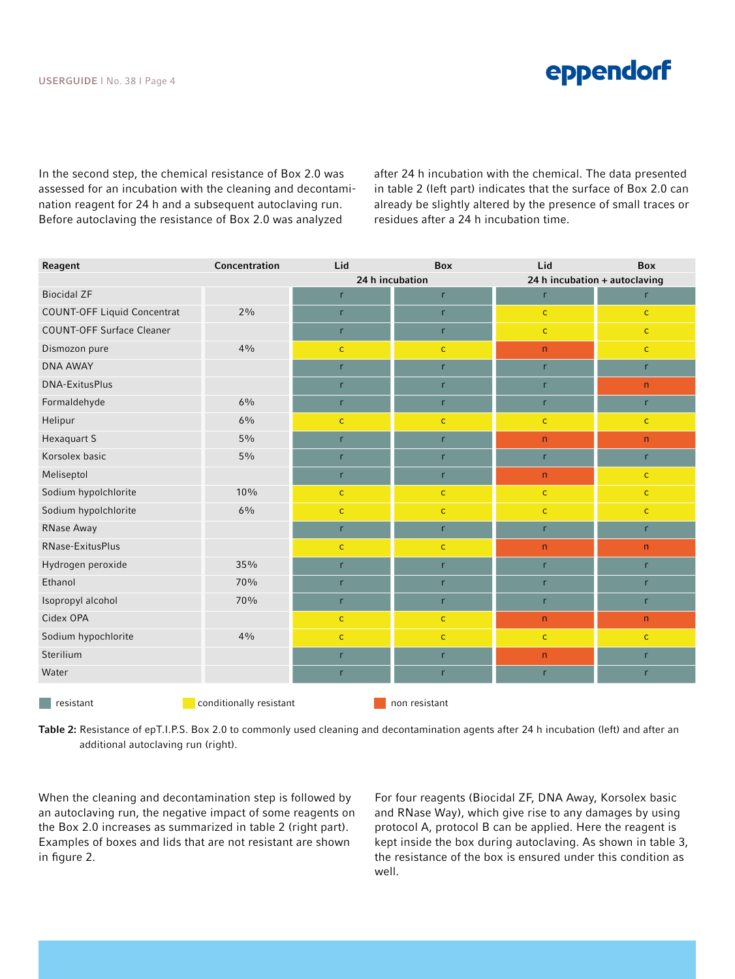

In the second step, the chemical resistance of Box 2.0 was assessed for an incubation with the cleaning and decontamination reagent for 24 h and a subsequent autoclaving run. Before autoclaving the resistance of Box 2.0 was analyzed

after 24 h incubation with the chemical. The data presented in table 2 (left part) indicates that the surface of Box 2.0 can already be slightly altered by the presence of small traces or residues after a 24 h incubation time.

| Reagent                            | Concentration           | Lid             | <b>Box</b>                             | Lid                           | <b>Box</b>   |
|------------------------------------|-------------------------|-----------------|----------------------------------------|-------------------------------|--------------|
|                                    |                         | 24 h incubation |                                        | 24 h incubation + autoclaving |              |
| <b>Biocidal ZF</b>                 |                         | r               | $r_{\parallel}$                        | r                             | r            |
| <b>COUNT-OFF Liquid Concentrat</b> | 2%                      | r               | $r_{\parallel}$                        | $\mathsf{C}$                  | $\mathsf{C}$ |
| <b>COUNT-OFF Surface Cleaner</b>   |                         | r               | r                                      | $\mathsf{C}$                  | $\mathsf{C}$ |
| Dismozon pure                      | 4%                      | $\mathsf{C}$    | $\mathbf{C}$                           | n                             | $\mathsf{C}$ |
| <b>DNA AWAY</b>                    |                         | r               | $r_{\parallel}$                        | $\mathsf{r}$                  | r            |
| <b>DNA-ExitusPlus</b>              |                         | r               | $r_{\parallel}$                        | $\mathsf{r}$                  | n            |
| Formaldehyde                       | 6%                      | r               | r                                      | r                             | r            |
| Helipur                            | 6%                      | $\mathsf{C}$    | $\mathbf{C}$                           | $\mathsf{C}$                  | $\mathsf{C}$ |
| Hexaquart S                        | $5\%$                   | r               | r                                      | n                             | n            |
| Korsolex basic                     | $5\%$                   | r               | r                                      | r                             | r            |
| Meliseptol                         |                         | r               | $r_{\parallel}$                        | n                             | $\mathsf{C}$ |
| Sodium hypolchlorite               | 10%                     | $\mathsf{C}$    | $\mathsf{C}$                           | $\mathsf{C}$                  | $\mathsf{C}$ |
| Sodium hypolchlorite               | 6%                      | $\mathsf{C}$    | $\mathsf{C}^{\scriptscriptstyle \top}$ | $\mathsf{C}$                  | $\mathsf{C}$ |
| RNase Away                         |                         | r               | $r_{\parallel}$                        | r                             | $r_{\rm}$    |
| RNase-ExitusPlus                   |                         | ${\bf C}$       | $\mathbf{C}$                           | n                             | n            |
| Hydrogen peroxide                  | 35%                     | r               | r                                      | r                             | $r_{\rm}$    |
| Ethanol                            | 70%                     | r               | r                                      | r                             | r            |
| Isopropyl alcohol                  | 70%                     | r               | r                                      | r                             | $r_{\rm}$    |
| Cidex OPA                          |                         | ${\bf C}$       | $\mathbf{C}$                           | n                             | $\mathsf{n}$ |
| Sodium hypochlorite                | 4%                      | ${\mathsf c}$   | $\mathbf{C}$                           | $\mathbf{C}$                  | $\mathsf{C}$ |
| Sterilium                          |                         | r               | r                                      | $\mathsf{n}$                  | r            |
| Water                              |                         | r               | $r_{\parallel}$                        | $\mathsf{r}$                  | r            |
| resistant                          | conditionally resistant |                 | non resistant                          |                               |              |

Table 2: Resistance of epT.I.P.S. Box 2.0 to commonly used cleaning and decontamination agents after 24 h incubation (left) and after an additional autoclaving run (right).

When the cleaning and decontamination step is followed by an autoclaving run, the negative impact of some reagents on the Box 2.0 increases as summarized in table 2 (right part). Examples of boxes and lids that are not resistant are shown in figure 2.

For four reagents (Biocidal ZF, DNA Away, Korsolex basic and RNase Way), which give rise to any damages by using protocol A, protocol B can be applied. Here the reagent is kept inside the box during autoclaving. As shown in table 3, the resistance of the box is ensured under this condition as well.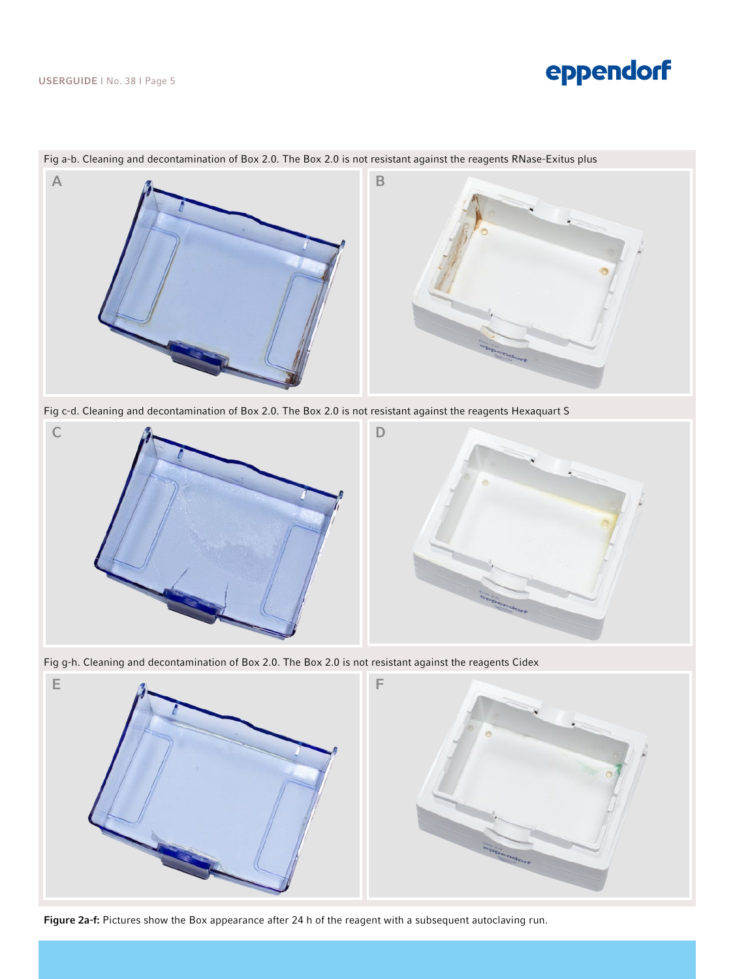

Fig a-b. Cleaning and decontamination of Box 2.0. The Box 2.0 is not resistant against the reagents RNase-Exitus plus

Fig c-d. Cleaning and decontamination of Box 2.0. The Box 2.0 is not resistant against the reagents Hexaquart S



Fig g-h. Cleaning and decontamination of Box 2.0. The Box 2.0 is not resistant against the reagents Cidex



Figure 2a-f: Pictures show the Box appearance after 24 h of the reagent with a subsequent autoclaving run.